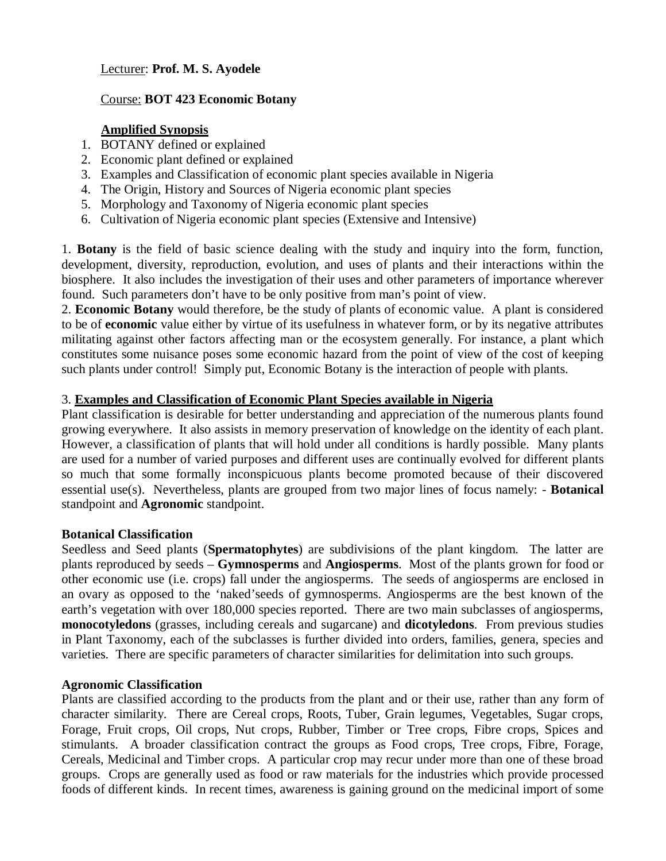Lecturer: **Prof. M. S. Ayodele**

# Course: **BOT 423 Economic Botany**

# **Amplified Synopsis**

- 1. BOTANY defined or explained
- 2. Economic plant defined or explained
- 3. Examples and Classification of economic plant species available in Nigeria
- 4. The Origin, History and Sources of Nigeria economic plant species
- 5. Morphology and Taxonomy of Nigeria economic plant species
- 6. Cultivation of Nigeria economic plant species (Extensive and Intensive)

1. **Botany** is the field of basic science dealing with the study and inquiry into the form, function, development, diversity, reproduction, evolution, and uses of plants and their interactions within the biosphere. It also includes the investigation of their uses and other parameters of importance wherever found. Such parameters don't have to be only positive from man's point of view.

2. **Economic Botany** would therefore, be the study of plants of economic value. A plant is considered to be of **economic** value either by virtue of its usefulness in whatever form, or by its negative attributes militating against other factors affecting man or the ecosystem generally. For instance, a plant which constitutes some nuisance poses some economic hazard from the point of view of the cost of keeping such plants under control! Simply put, Economic Botany is the interaction of people with plants.

## 3. **Examples and Classification of Economic Plant Species available in Nigeria**

Plant classification is desirable for better understanding and appreciation of the numerous plants found growing everywhere. It also assists in memory preservation of knowledge on the identity of each plant. However, a classification of plants that will hold under all conditions is hardly possible. Many plants are used for a number of varied purposes and different uses are continually evolved for different plants so much that some formally inconspicuous plants become promoted because of their discovered essential use(s). Nevertheless, plants are grouped from two major lines of focus namely: - **Botanical**  standpoint and **Agronomic** standpoint.

#### **Botanical Classification**

Seedless and Seed plants (**Spermatophytes**) are subdivisions of the plant kingdom. The latter are plants reproduced by seeds – **Gymnosperms** and **Angiosperms**. Most of the plants grown for food or other economic use (i.e. crops) fall under the angiosperms. The seeds of angiosperms are enclosed in an ovary as opposed to the 'naked'seeds of gymnosperms. Angiosperms are the best known of the earth's vegetation with over 180,000 species reported. There are two main subclasses of angiosperms, **monocotyledons** (grasses, including cereals and sugarcane) and **dicotyledons**. From previous studies in Plant Taxonomy, each of the subclasses is further divided into orders, families, genera, species and varieties. There are specific parameters of character similarities for delimitation into such groups.

### **Agronomic Classification**

Plants are classified according to the products from the plant and or their use, rather than any form of character similarity. There are Cereal crops, Roots, Tuber, Grain legumes, Vegetables, Sugar crops, Forage, Fruit crops, Oil crops, Nut crops, Rubber, Timber or Tree crops, Fibre crops, Spices and stimulants. A broader classification contract the groups as Food crops, Tree crops, Fibre, Forage, Cereals, Medicinal and Timber crops. A particular crop may recur under more than one of these broad groups. Crops are generally used as food or raw materials for the industries which provide processed foods of different kinds. In recent times, awareness is gaining ground on the medicinal import of some